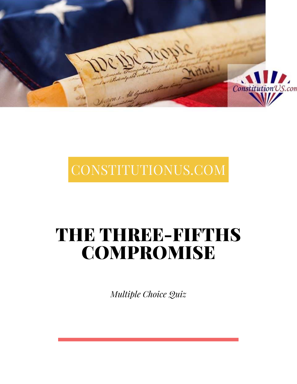

# CONSTITUTIONUS.COM

# THE THREE-FIFTHS COMPROMISE

*Multiple Choice Quiz*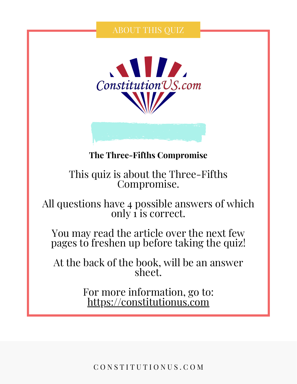## ABOUT THIS QUIZ





## **The Three-Fifths Compromise**

## This quiz is about the Three-Fifths Compromise.

All questions have 4 possible answers of which only 1 is correct.

You may read the article over the next few pages to freshen up before taking the quiz!

At the back of the book, will be an answer sheet.

> For more information, go to: [https://constitutionus.com](https://constitutionus.com/)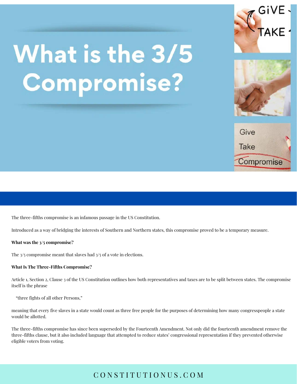# What is the 3/5 **Compromise?**







The three-fifths compromise is an infamous passage in the US Constitution.

Introduced as a way of bridging the interests of Southern and Northern states, this compromise proved to be a temporary measure.

#### **What was the 3/5 compromise?**

The  $3/5$  compromise meant that slaves had  $3/5$  of a vote in elections.

#### **What Is The Three-Fifths Compromise?**

Article 1, Section 2, Clause 3 of the US Constitution outlines how both representatives and taxes are to be split between states. The compromise itself is the phrase

"three fights of all other Persons,"

meaning that every five slaves in a state would count as three free people for the purposes of determining how many congresspeople a state would be allotted.

The three-fifths compromise has since been superseded by the Fourteenth Amendment. Not only did the fourteenth amendment remove the three-fifths clause, but it also included language that attempted to reduce states' congressional representation if they prevented otherwise eligible voters from voting.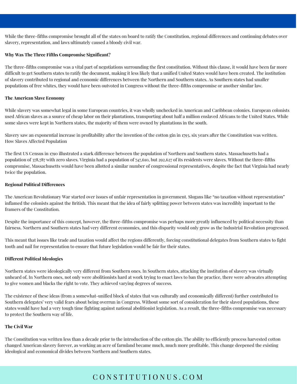While the three-fifths compromise brought all of the states on board to ratify the Constitution, regional differences and continuing debates over slavery, representation, and laws ultimately caused a bloody civil war.

#### **Why Was The Three Fifths Compromise Significant?**

The three-fifths compromise was a vital part of negotiations surrounding the first constitution. Without this clause, it would have been far more difficult to get Southern states to ratify the document, making it less likely that a unified United States would have been created. The institution of slavery contributed to regional and economic differences between the Northern and Southern states. As Southern states had smaller populations of free whites, they would have been outvoted in Congress without the three-fifths compromise or another similar law.

#### **The American Slave Economy**

While slavery was somewhat legal in some European countries, it was wholly unchecked in American and Caribbean colonies. European colonists used African slaves as a source of cheap labor on their plantations, transporting about half a million enslaved Africans to the United States. While some slaves were kept in Northern states, the majority of them were owned by plantations in the south.

Slavery saw an exponential increase in profitability after the invention of the cotton gin in 1793, six years after the Constitution was written. How Slaves Affected Population

The first US Census in 1790 illustrated a stark difference between the population of Northern and Southern states. Massachusetts had a population of 378,787 with zero slaves. Virginia had a population of 747,610, but 292,627 of its residents were slaves. Without the three-fifths compromise, Massachusetts would have been allotted a similar number of congressional representatives, despite the fact that Virginia had nearly twice the population.

#### **Regional Political Differences**

The American Revolutionary War started over issues of unfair representation in government. Slogans like "no taxation without representation" inflamed the colonists against the British. This meant that the idea of fairly splitting power between states was incredibly important to the framers of the Constitution.

Despite the importance of this concept, however, the three-fifths compromise was perhaps more greatly influenced by political necessity than fairness. Northern and Southern states had very different economies, and this disparity would only grow as the Industrial Revolution progressed.

This meant that issues like trade and taxation would affect the regions differently, forcing constitutional delegates from Southern states to fight tooth and nail for representation to ensure that future legislation would be fair for their states.

#### **Different Political Ideologies**

Northern states were ideologically very different from Southern ones. In Southern states, attacking the institution of slavery was virtually unheard of. In Northern ones, not only were abolitionists hard at work trying to enact laws to ban the practice, there were advocates attempting to give women and blacks the right to vote. They achieved varying degrees of success.

The existence of these ideas (from a somewhat-unified block of states that was culturally and economically different) further contributed to Southern delegates' very valid fears about being overrun in Congress. Without some sort of consideration for their slaved populations, these states would have had a very tough time fighting against national abolitionist legislation. As a result, the three-fifths compromise was necessary to protect the Southern way of life.

#### **The Civil War**

The Constitution was written less than a decade prior to the introduction of the cotton gin. The ability to efficiently process harvested cotton changed American slavery forever, as working an acre of farmland became much, much more profitable. This change deepened the existing ideological and economical divides between Northern and Southern states.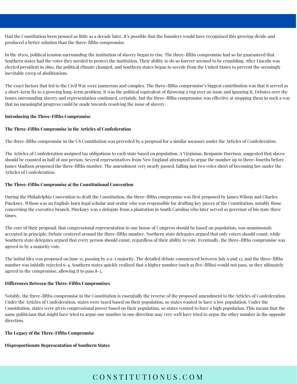Had the Constitution been penned as little as a decade later, it's possible that the founders would have recognized this growing divide and produced a better solution than the three-fifths compromise.

In the 1850s, political tension surrounding the institution of slavery began to rise. The three-fifths compromise had so far guaranteed that Southern states had the votes they needed to protect the institution. Their ability to do so forever seemed to be crumbling. After Lincoln was elected president in 1860, the political climate changed, and Southern states began to secede from the United States to prevent the seemingly inevitable creep of abolitionism.

The exact factors that led to the Civil War were numerous and complex. The three-fifths compromise's biggest contribution was that it served as a short-term fix to a growing long-term problem. It was the political equivalent of throwing a rug over an issue and ignoring it. Debates over the issues surrounding slavery and representation continued, certainly, but the three-fifths compromise was effective at stopping them in such a way that no meaningful progress could be made towards resolving the issue of slavery.

#### **Introducing the Three-Fifths Compromise**

#### **The Three-Fifths Compromise in the Articles of Confederation**

The three-fifths compromise in the US Constitution was preceded by a proposal for a similar measure under the Articles of Confederation.

The Articles of Confederation assigned tax obligations to each state based on population. A Virginian, Benjamin Harrison, suggested that slaves should be counted as half of one person. Several representatives from New England attempted to argue the number up to three-fourths before James Madison proposed the three-fifths number. The amendment very nearly passed, falling just two votes short of becoming law under the Articles of Confederation.

#### **The Three-Fifths Compromise at the Constitutional Convention**

During the Philadelphia Convention to draft the Constitution, the three-fifths compromise was first proposed by James Wilson and Charles Pinckney. Wilson was an English-born legal scholar and orator who was responsible for drafting key pieces of the Constitution, notably those concerning the executive branch. Pinckney was a delegate from a plantation in South Carolina who later served as governor of his state three times.

The core of their proposal, that congressional representation in one house of Congress should be based on population, was unanimously accepted in principle. Debate centered around the three-fifths number. Northern state delegates argued that only voters should count, while Southern state delegates argued that every person should count, regardless of their ability to vote. Eventually, the three-fifths compromise was agreed to by a majority vote.

The initial idea was proposed on June 11, passing by a 9-2 majority. The detailed debate commenced between July 9 and 13, and the three-fifths number was initially rejected 6-4. Southern states quickly realized that a higher number (such as five-fifths) would not pass, so they ultimately agreed to the compromise, allowing it to pass 8-2.

#### **Differences Between the Three-Fifths Compromises**

Notably, the three-fifths compromise in the Constitution is essentially the reverse of the proposed amendment to the Articles of Confederation. Under the Articles of Confederation, states were taxed based on their population, so states wanted to have a low population. Under the Constitution, states were given congressional power based on their population, so states wanted to have a high population. This means that the same politicians that might have tried to argue one number in one direction may very well have tried to argue the other number in the opposite direction.

#### **The Legacy of the Three-Fifths Compromise**

#### **Disproportionate Representation of Southern States**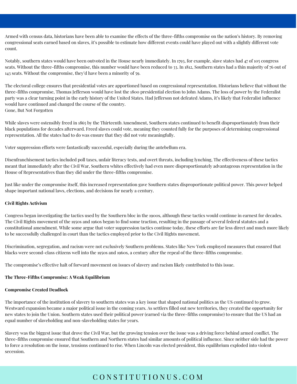Armed with census data, historians have been able to examine the effects of the three-fifths compromise on the nation's history. By removing congressional seats earned based on slaves, it's possible to estimate how different events could have played out with a slightly different vote count.

Notably, southern states would have been outvoted in the House nearly immediately. In 1793, for example, slave states had 47 of 105 congress seats. Without the three-fifths compromise, this number would have been reduced to 33. In 1812, Southern states had a thin majority of 76 out of 143 seats. Without the compromise, they'd have been a minority of 59.

The electoral college ensures that presidential votes are apportioned based on congressional representation. Historians believe that without the three-fifths compromise, Thomas Jefferson would have lost the 1800 presidential election to John Adams. The loss of power by the Federalist party was a clear turning point in the early history of the United States. Had Jefferson not defeated Adams, it's likely that Federalist influence would have continued and changed the course of the country. Gone, But Not Forgotten

While slaves were ostensibly freed in 1865 by the Thirteenth Amendment, Southern states continued to benefit disproportionately from their black populations for decades afterward. Freed slaves could vote, meaning they counted fully for the purposes of determining congressional representation. All the states had to do was ensure that they did not vote meaningfully.

Voter suppression efforts were fantastically successful, especially during the antebellum era.

Disenfranchisement tactics included poll taxes, unfair literacy tests, and overt threats, including lynching, The effectiveness of these tactics meant that immediately after the Civil War, Southern whites effectively had even more disproportionately advantageous representation in the House of Representatives than they did under the three-fifths compromise.

Just like under the compromise itself, this increased representation gave Southern states disproportionate political power. This power helped shape important national laws, elections, and decisions for nearly a century.

#### **Civil Rights Activism**

Congress began investigating the tactics used by the Southern bloc in the 1900s, although these tactics would continue in earnest for decades. The Civil Rights movement of the 1950s and 1960s began to find some traction, resulting in the passage of several federal statutes and a constitutional amendment. While some argue that voter suppression tactics continue today, these efforts are far less direct and much more likely to be successfully challenged in court than the tactics employed prior to the Civil Rights movement.

Discrimination, segregation, and racism were not exclusively Southern problems. States like New York employed measures that ensured that blacks were second-class citizens well into the 1950s and 1960s, a century after the repeal of the three-fifths compromise.

The compromise's effective halt of forward movement on issues of slavery and racism likely contributed to this issue.

#### **The Three-Fifths Compromise: A Weak Equilibrium**

#### **Compromise Created Deadlock**

The importance of the institution of slavery to southern states was a key issue that shaped national politics as the US continued to grow. Westward expansion became a major political issue in the coming years. As settlers filled out new territories, they created the opportunity for new states to join the Union. Southern states used their political power (earned via the three-fifths compromise) to ensure that the US had an equal number of slaveholding and non-slaveholding states for years.

Slavery was the biggest issue that drove the Civil War, but the growing tension over the issue was a driving force behind armed conflict. The three-fifths compromise ensured that Southern and Northern states had similar amounts of political influence. Since neither side had the power to force a resolution on the issue, tensions continued to rise. When Lincoln was elected president, this equilibrium exploded into violent secession.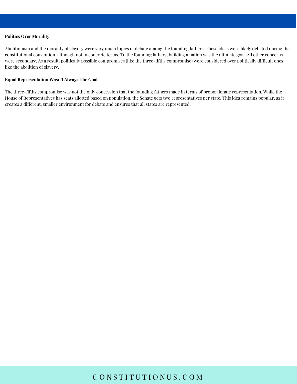#### **Politics Over Morality**

Abolitionism and the morality of slavery were very much topics of debate among the founding fathers. These ideas were likely debated during the constitutional convention, although not in concrete terms. To the founding fathers, building a nation was the ultimate goal. All other concerns were secondary. As a result, politically possible compromises (like the three-fifths compromise) were considered over politically difficult ones like the abolition of slavery.

#### **Equal Representation Wasn't Always The Goal**

The three-fifths compromise was not the only concession that the founding fathers made in terms of proportionate representation. While the House of Representatives has seats allotted based on population, the Senate gets two representatives per state. This idea remains popular, as it creates a different, smaller environment for debate and ensures that all states are represented.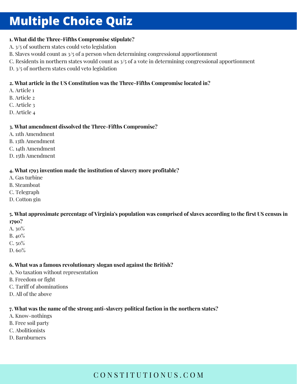## **Multiple Choice Quiz**

#### **1. What did the Three-Fifths Compromise stipulate?**

- A. 3/5 of southern states could veto legislation
- B. Slaves would count as 3/5 of a person when determining congressional apportionment
- C. Residents in northern states would count as 3/5 of a vote in determining congressional apportionment
- D. 3/5 of northern states could veto legislation

#### **2. What article in the US Constitution was the Three-Fifths Compromise located in?**

- A. Article 1
- B. Article 2
- C. Article 3
- D. Article 4

#### **3. What amendment dissolved the Three-Fifths Compromise?**

- A. 11th Amendment
- B. 13th Amendment
- C. 14th Amendment
- D. 15th Amendment

#### **4. What 1793 invention made the institution of slavery more profitable?**

- A. Gas turbine
- B. Steamboat
- C. Telegraph
- D. Cotton gin

#### 5. What approximate percentage of Virginia's population was comprised of slaves according to the first US census in **1790?**

- A. 30%
- B. 40%
- $C.50%$
- D. 60%

#### **6. What was a famous revolutionary slogan used against the British?**

- A. No taxation without representation
- B. Freedom or fight
- C. Tariff of abominations
- D. All of the above

#### **7. What was the name of the strong anti-slavery political faction in the northern states?**

- A. Know-nothings
- B. Free soil party
- C. Abolitionists
- D. Barnburners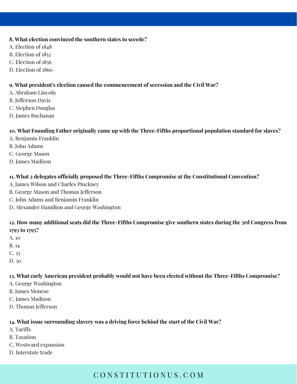#### **8. What election convinced the southern states to secede?**

- A. Election of 1848
- B. Election of 1852
- C. Election of 1856
- D. Election of 1860

#### **9. What president's election caused the commencement of secession and the Civil War?**

- A. Abraham Lincoln
- B. Jefferson Davis
- C. Stephen Douglas
- D. James Buchanan

#### **10. What Founding Father originally came up with the Three-Fifths proportional population standard for slaves?**

- A. Benjamin Franklin
- B. John Adams
- C. George Mason
- D. James Madison

#### **11. What 2 delegates officially proposed the Three-Fifths Compromise at the Constitutional Convention?**

- A. James Wilson and Charles Pinckney
- B. George Mason and Thomas Jefferson
- C. John Adams and Benjamin Franklin
- D. Alexander Hamilton and George Washington

#### 12. How many additional seats did the Three-Fifths Compromise give southern states during the 3rd Congress from **1793 to 1795?**

- A. 10
- B. 14
- C. 25
- D. 30

#### **13. What early American president probably would not have been elected without the Three-Fifths Compromise?**

- A. George Washington
- B. James Monroe
- C. James Madison
- D. Thomas Jefferson

#### **14. What issue surrounding slavery was a driving force behind the start of the Civil War?**

- A. Tariffs
- B. Taxation
- C. Westward expansion
- D. Interstate trade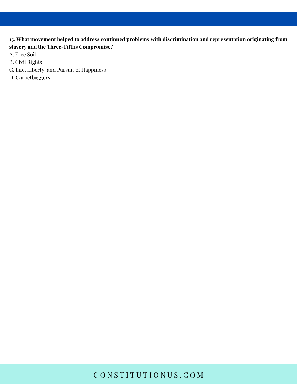#### **15. What movement helped to address continued problems with discrimination and representation originating from slavery and the Three-Fifths Compromise?**

- A. Free Soil
- B. Civil Rights
- C. Life, Liberty, and Pursuit of Happiness
- D. Carpetbaggers